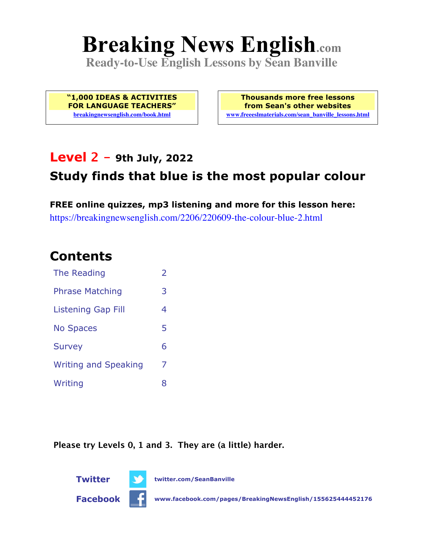# **Breaking News English.com**

**Ready-to-Use English Lessons by Sean Banville**

**"1,000 IDEAS & ACTIVITIES FOR LANGUAGE TEACHERS" breakingnewsenglish.com/book.html**

**Thousands more free lessons from Sean's other websites www.freeeslmaterials.com/sean\_banville\_lessons.html**

### **Level 2 - 9th July, 2022**

## **Study finds that blue is the most popular colour**

**FREE online quizzes, mp3 listening and more for this lesson here:** https://breakingnewsenglish.com/2206/220609-the-colour-blue-2.html

### **Contents**

| The Reading                 | $\overline{\phantom{a}}$ |
|-----------------------------|--------------------------|
| <b>Phrase Matching</b>      | 3                        |
| Listening Gap Fill          | 4                        |
| <b>No Spaces</b>            | 5                        |
| <b>Survey</b>               | 6                        |
| <b>Writing and Speaking</b> | 7                        |
| Writing                     | 8                        |

**Please try Levels 0, 1 and 3. They are (a little) harder.**





**Facebook www.facebook.com/pages/BreakingNewsEnglish/155625444452176**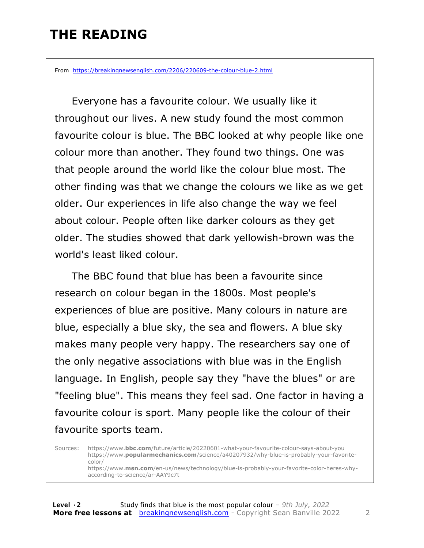# **THE READING**

From https://breakingnewsenglish.com/2206/220609-the-colour-blue-2.html

 Everyone has a favourite colour. We usually like it throughout our lives. A new study found the most common favourite colour is blue. The BBC looked at why people like one colour more than another. They found two things. One was that people around the world like the colour blue most. The other finding was that we change the colours we like as we get older. Our experiences in life also change the way we feel about colour. People often like darker colours as they get older. The studies showed that dark yellowish-brown was the world's least liked colour.

 The BBC found that blue has been a favourite since research on colour began in the 1800s. Most people's experiences of blue are positive. Many colours in nature are blue, especially a blue sky, the sea and flowers. A blue sky makes many people very happy. The researchers say one of the only negative associations with blue was in the English language. In English, people say they "have the blues" or are "feeling blue". This means they feel sad. One factor in having a favourite colour is sport. Many people like the colour of their favourite sports team.

Sources: https://www.**bbc.com**/future/article/20220601-what-your-favourite-colour-says-about-you https://www.**popularmechanics.com**/science/a40207932/why-blue-is-probably-your-favoritecolor/ https://www.**msn.com**/en-us/news/technology/blue-is-probably-your-favorite-color-heres-whyaccording-to-science/ar-AAY9c7t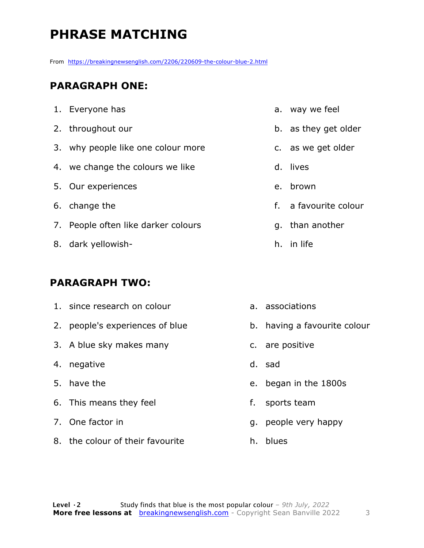# **PHRASE MATCHING**

From https://breakingnewsenglish.com/2206/220609-the-colour-blue-2.html

#### **PARAGRAPH ONE:**

| 1. Everyone has                     |
|-------------------------------------|
| 2. throughout our                   |
| 3. why people like one colour more  |
| 4. we change the colours we like    |
| 5. Our experiences                  |
| 6. change the                       |
| 7. People often like darker colours |
| 8. dark yellowish-                  |

#### **PARAGRAPH TWO:**

- 1. since research on colour
- 2. people's experiences of blue
- 3. A blue sky makes many
- 4. negative
- 5. have the
- 6. This means they feel
- 7. One factor in
- 8. the colour of their favourite
- a. way we feel
- b. as they get older
- c. as we get older
- d. lives
- e. brown
- f. a favourite colour
- g. than another
- h. in life
- a. associations
- b. having a favourite colour
- c. are positive
- d. sad
- e. began in the 1800s
- f. sports team
- g. people very happy
- h. blues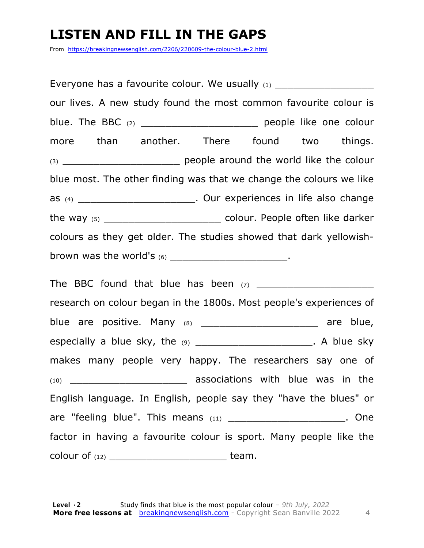### **LISTEN AND FILL IN THE GAPS**

From https://breakingnewsenglish.com/2206/220609-the-colour-blue-2.html

Everyone has a favourite colour. We usually  $(1)$ our lives. A new study found the most common favourite colour is blue. The BBC (2) **Department on the BBC (2) blue.** The BBC (2) more than another. There found two things. (3) \_\_\_\_\_\_\_\_\_\_\_\_\_\_\_\_\_\_\_\_\_\_\_\_\_\_\_\_\_\_\_ people around the world like the colour blue most. The other finding was that we change the colours we like as (4) \_\_\_\_\_\_\_\_\_\_\_\_\_\_\_\_\_\_\_\_\_\_\_. Our experiences in life also change the way (5) \_\_\_\_\_\_\_\_\_\_\_\_\_\_\_\_\_\_\_\_\_\_\_\_\_\_\_\_\_\_\_\_ colour. People often like darker colours as they get older. The studies showed that dark yellowishbrown was the world's  $(6)$  \_\_\_\_\_\_\_\_\_\_\_\_\_\_\_\_\_\_\_\_\_\_\_. The BBC found that blue has been (7) \_\_\_\_\_\_\_\_\_\_\_\_\_\_\_\_\_\_\_ research on colour began in the 1800s. Most people's experiences of blue are positive. Many (8) \_\_\_\_\_\_\_\_\_\_\_\_\_\_\_\_\_\_\_\_\_\_ are blue, especially a blue sky, the  $(9)$  \_\_\_\_\_\_\_\_\_\_\_\_\_\_\_\_\_\_\_\_\_\_\_. A blue sky makes many people very happy. The researchers say one of (10) \_\_\_\_\_\_\_\_\_\_\_\_\_\_\_\_\_\_\_ associations with blue was in the English language. In English, people say they "have the blues" or are "feeling blue". This means (11) \_\_\_\_\_\_\_\_\_\_\_\_\_\_\_\_\_\_\_\_\_\_\_. One factor in having a favourite colour is sport. Many people like the colour of (12) \_\_\_\_\_\_\_\_\_\_\_\_\_\_\_\_\_\_\_ team.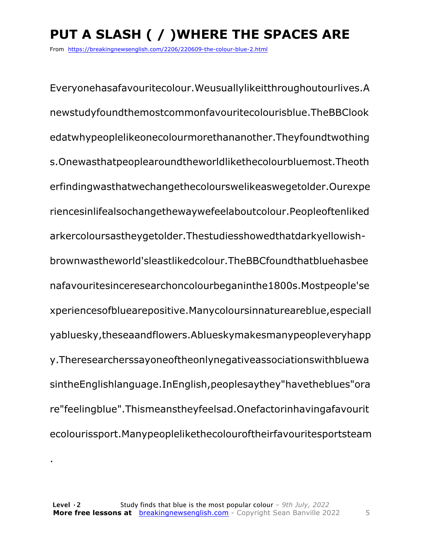# **PUT A SLASH ( / )WHERE THE SPACES ARE**

From https://breakingnewsenglish.com/2206/220609-the-colour-blue-2.html

Everyonehasafavouritecolour.Weusuallylikeitthroughoutourlives.A newstudyfoundthemostcommonfavouritecolourisblue.TheBBClook edatwhypeoplelikeonecolourmorethananother.Theyfoundtwothing s.Onewasthatpeoplearoundtheworldlikethecolourbluemost.Theoth erfindingwasthatwechangethecolourswelikeaswegetolder.Ourexpe riencesinlifealsochangethewaywefeelaboutcolour.Peopleoftenliked arkercoloursastheygetolder.Thestudiesshowedthatdarkyellowishbrownwastheworld'sleastlikedcolour.TheBBCfoundthatbluehasbee nafavouritesinceresearchoncolourbeganinthe1800s.Mostpeople'se xperiencesofbluearepositive.Manycoloursinnatureareblue,especiall yabluesky,theseaandflowers.Ablueskymakesmanypeopleveryhapp y.Theresearcherssayoneoftheonlynegativeassociationswithbluewa sintheEnglishlanguage.InEnglish,peoplesaythey"havetheblues"ora re"feelingblue".Thismeanstheyfeelsad.Onefactorinhavingafavourit ecolourissport.Manypeoplelikethecolouroftheirfavouritesportsteam

.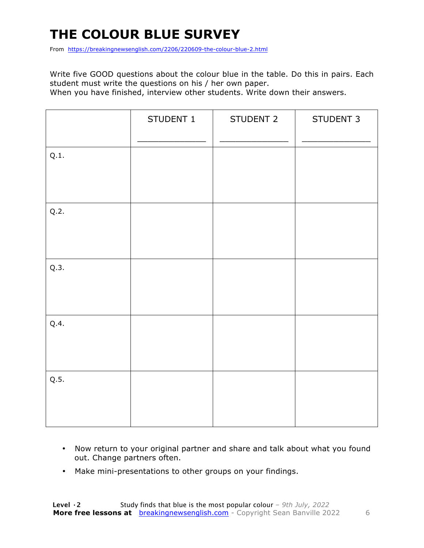# **THE COLOUR BLUE SURVEY**

From https://breakingnewsenglish.com/2206/220609-the-colour-blue-2.html

Write five GOOD questions about the colour blue in the table. Do this in pairs. Each student must write the questions on his / her own paper.

When you have finished, interview other students. Write down their answers.

|      | STUDENT 1 | STUDENT 2 | STUDENT 3 |
|------|-----------|-----------|-----------|
| Q.1. |           |           |           |
| Q.2. |           |           |           |
| Q.3. |           |           |           |
| Q.4. |           |           |           |
| Q.5. |           |           |           |

- Now return to your original partner and share and talk about what you found out. Change partners often.
- Make mini-presentations to other groups on your findings.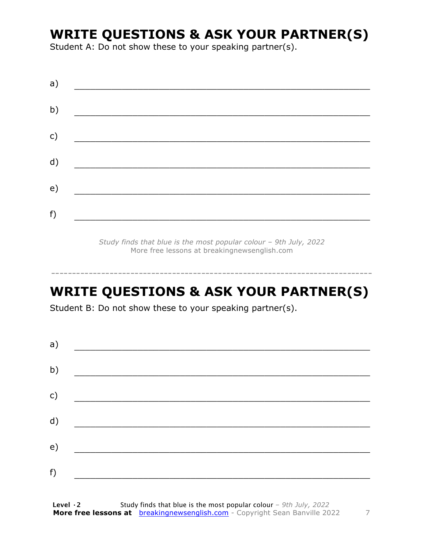## **WRITE QUESTIONS & ASK YOUR PARTNER(S)**

Student A: Do not show these to your speaking partner(s).

| a) |  |  |
|----|--|--|
| b) |  |  |
| c) |  |  |
| d) |  |  |
| e) |  |  |
| f) |  |  |
|    |  |  |

*Study finds that blue is the most popular colour – 9th July, 2022* More free lessons at breakingnewsenglish.com

### **WRITE QUESTIONS & ASK YOUR PARTNER(S)**

-----------------------------------------------------------------------------

Student B: Do not show these to your speaking partner(s).

| a) |  |  |
|----|--|--|
| b) |  |  |
| c) |  |  |
| d) |  |  |
| e) |  |  |
| f) |  |  |
|    |  |  |